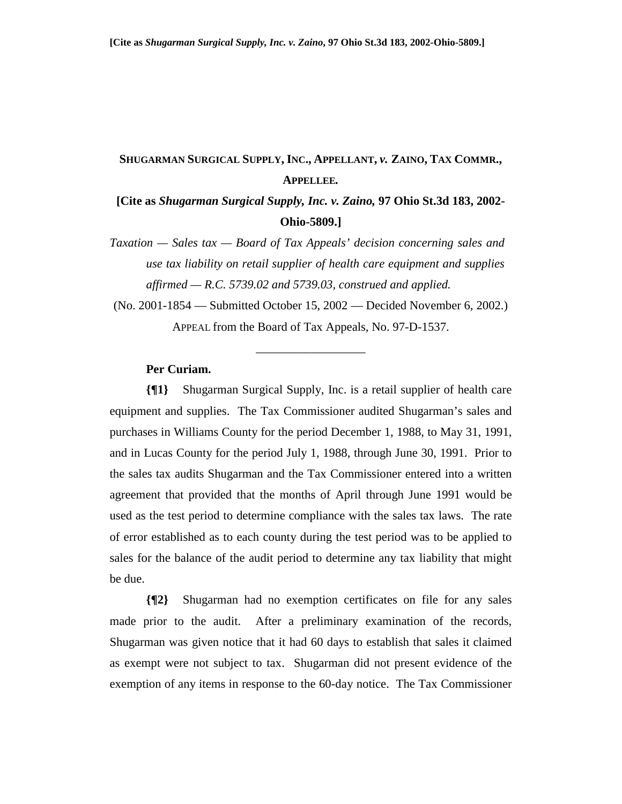## **SHUGARMAN SURGICAL SUPPLY, INC., APPELLANT,** *v.* **ZAINO, TAX COMMR., APPELLEE***.*

## **[Cite as** *Shugarman Surgical Supply, Inc. v. Zaino,* **97 Ohio St.3d 183, 2002- Ohio-5809.]**

*Taxation — Sales tax — Board of Tax Appeals' decision concerning sales and use tax liability on retail supplier of health care equipment and supplies affirmed — R.C. 5739.02 and 5739.03, construed and applied.*

(No. 2001-1854 — Submitted October 15, 2002 — Decided November 6, 2002.) APPEAL from the Board of Tax Appeals, No. 97-D-1537.

\_\_\_\_\_\_\_\_\_\_\_\_\_\_\_\_\_\_

## **Per Curiam.**

**{¶1}** Shugarman Surgical Supply, Inc. is a retail supplier of health care equipment and supplies. The Tax Commissioner audited Shugarman's sales and purchases in Williams County for the period December 1, 1988, to May 31, 1991, and in Lucas County for the period July 1, 1988, through June 30, 1991. Prior to the sales tax audits Shugarman and the Tax Commissioner entered into a written agreement that provided that the months of April through June 1991 would be used as the test period to determine compliance with the sales tax laws. The rate of error established as to each county during the test period was to be applied to sales for the balance of the audit period to determine any tax liability that might be due.

**{¶2}** Shugarman had no exemption certificates on file for any sales made prior to the audit. After a preliminary examination of the records, Shugarman was given notice that it had 60 days to establish that sales it claimed as exempt were not subject to tax. Shugarman did not present evidence of the exemption of any items in response to the 60-day notice. The Tax Commissioner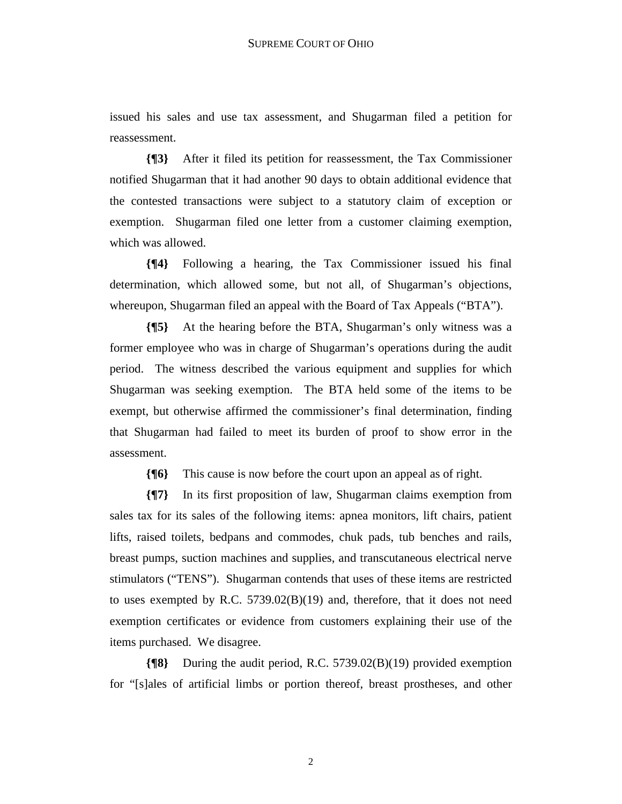issued his sales and use tax assessment, and Shugarman filed a petition for reassessment.

**{¶3}** After it filed its petition for reassessment, the Tax Commissioner notified Shugarman that it had another 90 days to obtain additional evidence that the contested transactions were subject to a statutory claim of exception or exemption. Shugarman filed one letter from a customer claiming exemption, which was allowed.

**{¶4}** Following a hearing, the Tax Commissioner issued his final determination, which allowed some, but not all, of Shugarman's objections, whereupon, Shugarman filed an appeal with the Board of Tax Appeals ("BTA").

**{¶5}** At the hearing before the BTA, Shugarman's only witness was a former employee who was in charge of Shugarman's operations during the audit period. The witness described the various equipment and supplies for which Shugarman was seeking exemption. The BTA held some of the items to be exempt, but otherwise affirmed the commissioner's final determination, finding that Shugarman had failed to meet its burden of proof to show error in the assessment.

**{¶6}** This cause is now before the court upon an appeal as of right.

**{¶7}** In its first proposition of law, Shugarman claims exemption from sales tax for its sales of the following items: apnea monitors, lift chairs, patient lifts, raised toilets, bedpans and commodes, chuk pads, tub benches and rails, breast pumps, suction machines and supplies, and transcutaneous electrical nerve stimulators ("TENS"). Shugarman contends that uses of these items are restricted to uses exempted by R.C. 5739.02(B)(19) and, therefore, that it does not need exemption certificates or evidence from customers explaining their use of the items purchased. We disagree.

**{¶8}** During the audit period, R.C. 5739.02(B)(19) provided exemption for "[s]ales of artificial limbs or portion thereof, breast prostheses, and other

2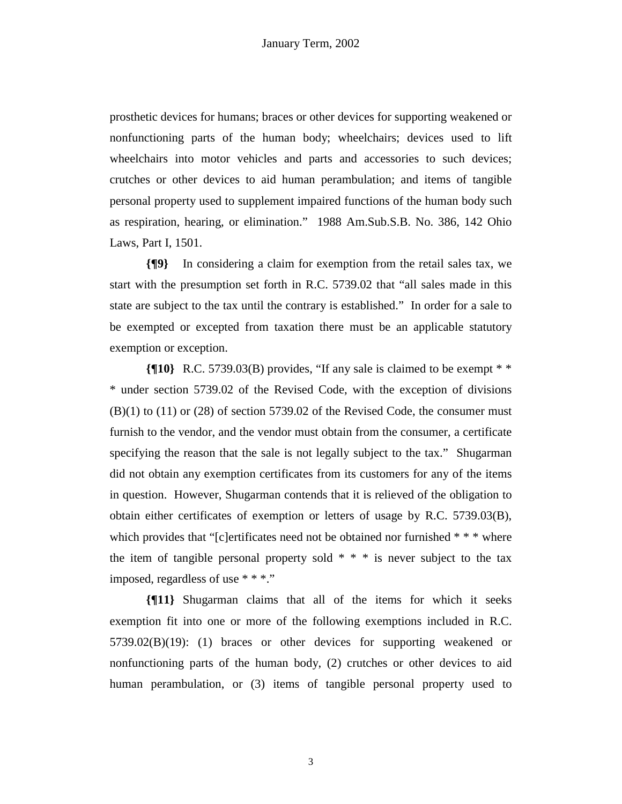prosthetic devices for humans; braces or other devices for supporting weakened or nonfunctioning parts of the human body; wheelchairs; devices used to lift wheelchairs into motor vehicles and parts and accessories to such devices; crutches or other devices to aid human perambulation; and items of tangible personal property used to supplement impaired functions of the human body such as respiration, hearing, or elimination." 1988 Am.Sub.S.B. No. 386, 142 Ohio Laws, Part I, 1501.

**{¶9}** In considering a claim for exemption from the retail sales tax, we start with the presumption set forth in R.C. 5739.02 that "all sales made in this state are subject to the tax until the contrary is established." In order for a sale to be exempted or excepted from taxation there must be an applicable statutory exemption or exception.

**{¶10}** R.C. 5739.03(B) provides, "If any sale is claimed to be exempt \* \* \* under section 5739.02 of the Revised Code, with the exception of divisions  $(B)(1)$  to  $(11)$  or  $(28)$  of section 5739.02 of the Revised Code, the consumer must furnish to the vendor, and the vendor must obtain from the consumer, a certificate specifying the reason that the sale is not legally subject to the tax." Shugarman did not obtain any exemption certificates from its customers for any of the items in question. However, Shugarman contends that it is relieved of the obligation to obtain either certificates of exemption or letters of usage by R.C. 5739.03(B), which provides that "[c]ertificates need not be obtained nor furnished \* \* \* where the item of tangible personal property sold  $* * *$  is never subject to the tax imposed, regardless of use \* \* \*."

**{¶11}** Shugarman claims that all of the items for which it seeks exemption fit into one or more of the following exemptions included in R.C. 5739.02(B)(19): (1) braces or other devices for supporting weakened or nonfunctioning parts of the human body, (2) crutches or other devices to aid human perambulation, or (3) items of tangible personal property used to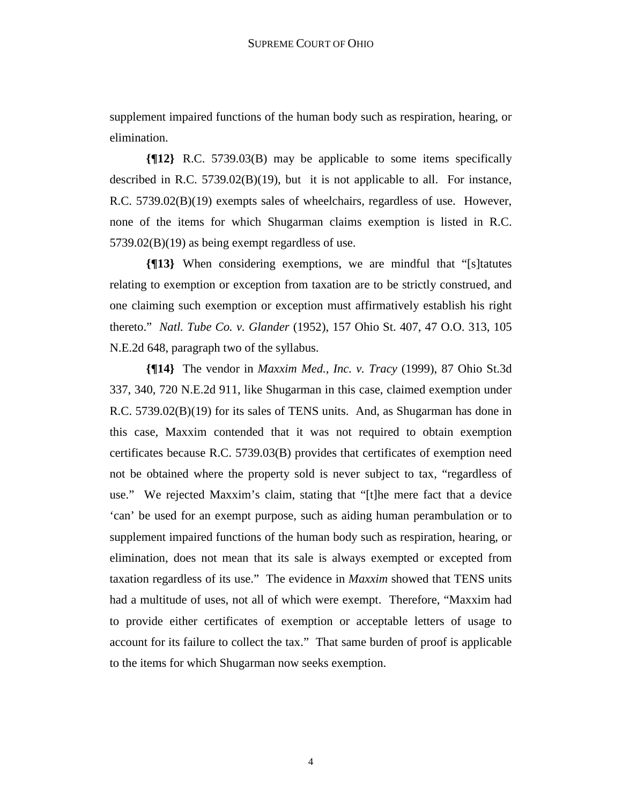supplement impaired functions of the human body such as respiration, hearing, or elimination.

**{¶12}** R.C. 5739.03(B) may be applicable to some items specifically described in R.C. 5739.02(B)(19), but it is not applicable to all. For instance, R.C. 5739.02(B)(19) exempts sales of wheelchairs, regardless of use. However, none of the items for which Shugarman claims exemption is listed in R.C. 5739.02(B)(19) as being exempt regardless of use.

**{¶13}** When considering exemptions, we are mindful that "[s]tatutes relating to exemption or exception from taxation are to be strictly construed, and one claiming such exemption or exception must affirmatively establish his right thereto." *Natl. Tube Co. v. Glander* (1952), 157 Ohio St. 407, 47 O.O. 313, 105 N.E.2d 648, paragraph two of the syllabus.

**{¶14}** The vendor in *Maxxim Med., Inc. v. Tracy* (1999), 87 Ohio St.3d 337, 340, 720 N.E.2d 911, like Shugarman in this case, claimed exemption under R.C. 5739.02(B)(19) for its sales of TENS units. And, as Shugarman has done in this case, Maxxim contended that it was not required to obtain exemption certificates because R.C. 5739.03(B) provides that certificates of exemption need not be obtained where the property sold is never subject to tax, "regardless of use." We rejected Maxxim's claim, stating that "[t]he mere fact that a device 'can' be used for an exempt purpose, such as aiding human perambulation or to supplement impaired functions of the human body such as respiration, hearing, or elimination, does not mean that its sale is always exempted or excepted from taxation regardless of its use." The evidence in *Maxxim* showed that TENS units had a multitude of uses, not all of which were exempt. Therefore, "Maxxim had to provide either certificates of exemption or acceptable letters of usage to account for its failure to collect the tax." That same burden of proof is applicable to the items for which Shugarman now seeks exemption.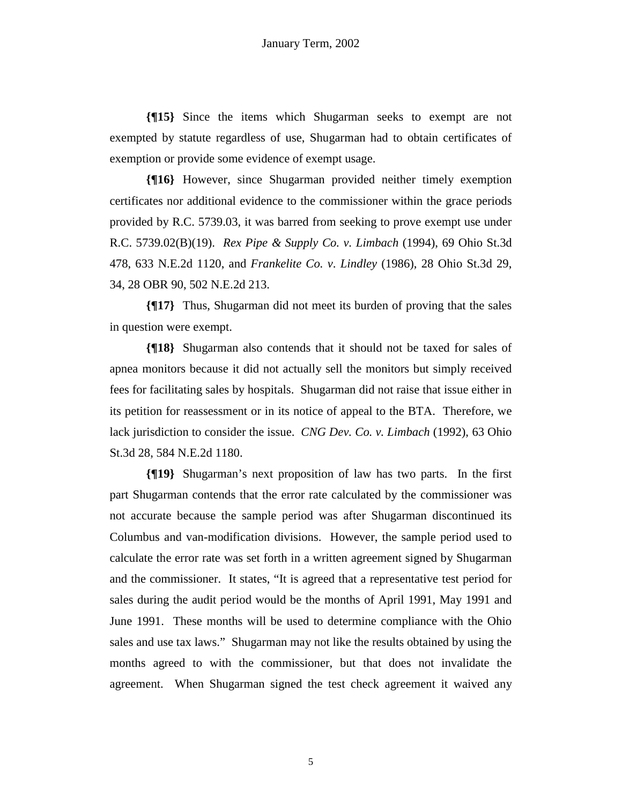**{¶15}** Since the items which Shugarman seeks to exempt are not exempted by statute regardless of use, Shugarman had to obtain certificates of exemption or provide some evidence of exempt usage.

**{¶16}** However, since Shugarman provided neither timely exemption certificates nor additional evidence to the commissioner within the grace periods provided by R.C. 5739.03, it was barred from seeking to prove exempt use under R.C. 5739.02(B)(19). *Rex Pipe & Supply Co. v. Limbach* (1994), 69 Ohio St.3d 478, 633 N.E.2d 1120, and *Frankelite Co. v*. *Lindley* (1986), 28 Ohio St.3d 29, 34, 28 OBR 90, 502 N.E.2d 213.

**{¶17}** Thus, Shugarman did not meet its burden of proving that the sales in question were exempt.

**{¶18}** Shugarman also contends that it should not be taxed for sales of apnea monitors because it did not actually sell the monitors but simply received fees for facilitating sales by hospitals. Shugarman did not raise that issue either in its petition for reassessment or in its notice of appeal to the BTA. Therefore, we lack jurisdiction to consider the issue. *CNG Dev. Co. v. Limbach* (1992), 63 Ohio St.3d 28, 584 N.E.2d 1180.

**{¶19}** Shugarman's next proposition of law has two parts. In the first part Shugarman contends that the error rate calculated by the commissioner was not accurate because the sample period was after Shugarman discontinued its Columbus and van-modification divisions. However, the sample period used to calculate the error rate was set forth in a written agreement signed by Shugarman and the commissioner. It states, "It is agreed that a representative test period for sales during the audit period would be the months of April 1991, May 1991 and June 1991. These months will be used to determine compliance with the Ohio sales and use tax laws." Shugarman may not like the results obtained by using the months agreed to with the commissioner, but that does not invalidate the agreement. When Shugarman signed the test check agreement it waived any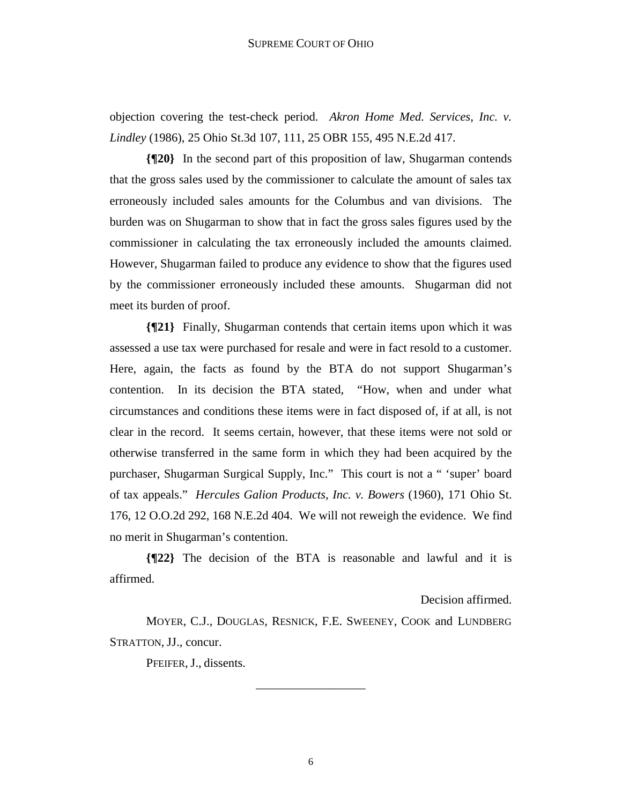objection covering the test-check period. *Akron Home Med. Services, Inc. v. Lindley* (1986), 25 Ohio St.3d 107, 111, 25 OBR 155, 495 N.E.2d 417.

**{¶20}** In the second part of this proposition of law, Shugarman contends that the gross sales used by the commissioner to calculate the amount of sales tax erroneously included sales amounts for the Columbus and van divisions. The burden was on Shugarman to show that in fact the gross sales figures used by the commissioner in calculating the tax erroneously included the amounts claimed. However, Shugarman failed to produce any evidence to show that the figures used by the commissioner erroneously included these amounts. Shugarman did not meet its burden of proof.

**{¶21}** Finally, Shugarman contends that certain items upon which it was assessed a use tax were purchased for resale and were in fact resold to a customer. Here, again, the facts as found by the BTA do not support Shugarman's contention. In its decision the BTA stated, "How, when and under what circumstances and conditions these items were in fact disposed of, if at all, is not clear in the record. It seems certain, however, that these items were not sold or otherwise transferred in the same form in which they had been acquired by the purchaser, Shugarman Surgical Supply, Inc." This court is not a " 'super' board of tax appeals." *Hercules Galion Products, Inc. v. Bowers* (1960), 171 Ohio St. 176, 12 O.O.2d 292, 168 N.E.2d 404. We will not reweigh the evidence. We find no merit in Shugarman's contention.

**{¶22}** The decision of the BTA is reasonable and lawful and it is affirmed.

Decision affirmed.

 MOYER, C.J., DOUGLAS, RESNICK, F.E. SWEENEY, COOK and LUNDBERG STRATTON, JJ., concur.

\_\_\_\_\_\_\_\_\_\_\_\_\_\_\_\_\_\_

PFEIFER, J., dissents.